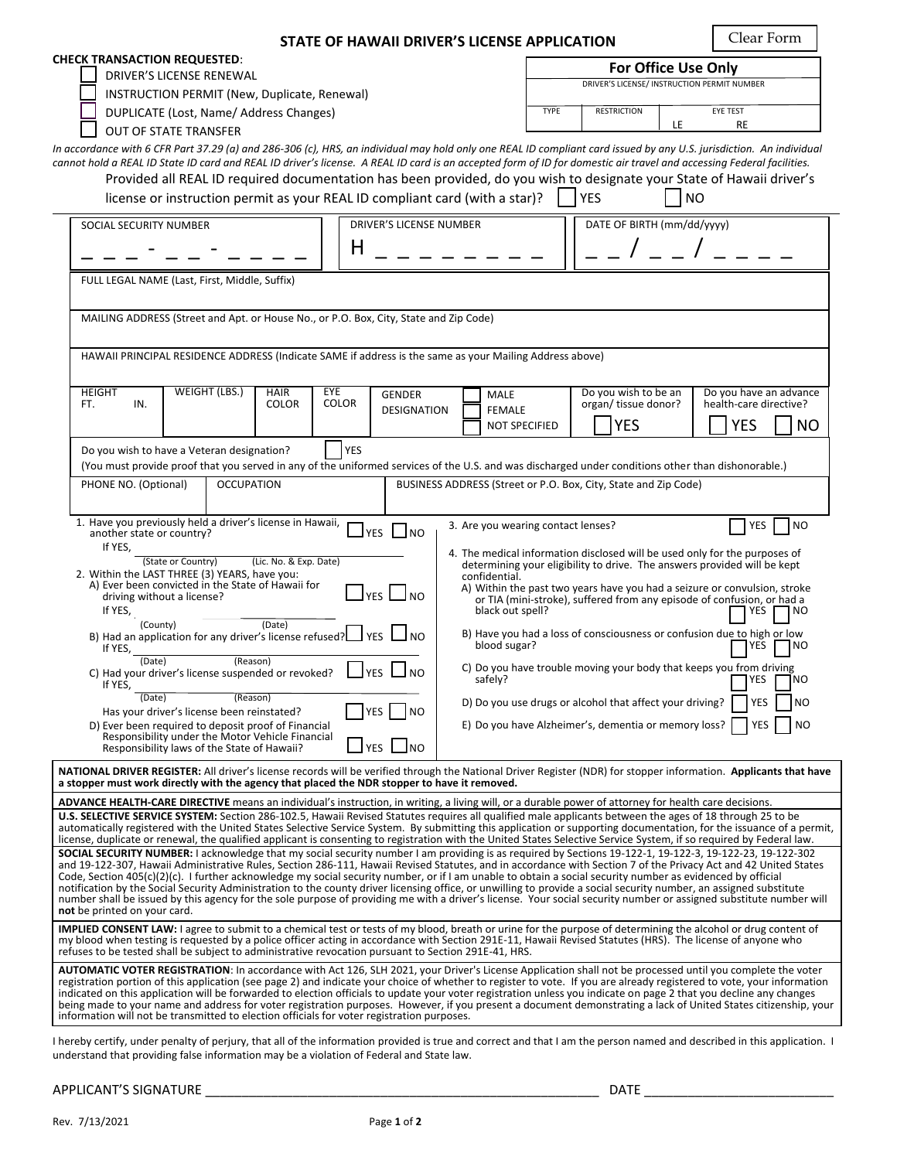| STATE OF HAWAII DRIVER'S LICENSE APPLICATION                                                                                                                                                                                                                                                                                                | Clear Form                                                                               |  |  |  |
|---------------------------------------------------------------------------------------------------------------------------------------------------------------------------------------------------------------------------------------------------------------------------------------------------------------------------------------------|------------------------------------------------------------------------------------------|--|--|--|
| <b>CHECK TRANSACTION REQUESTED:</b>                                                                                                                                                                                                                                                                                                         | <b>For Office Use Only</b>                                                               |  |  |  |
| <b>DRIVER'S LICENSE RENEWAL</b>                                                                                                                                                                                                                                                                                                             | DRIVER'S LICENSE/ INSTRUCTION PERMIT NUMBER                                              |  |  |  |
| INSTRUCTION PERMIT (New, Duplicate, Renewal)<br>DUPLICATE (Lost, Name/ Address Changes)                                                                                                                                                                                                                                                     | <b>TYPE</b><br><b>RESTRICTION</b><br><b>EYE TEST</b>                                     |  |  |  |
| <b>OUT OF STATE TRANSFER</b>                                                                                                                                                                                                                                                                                                                | LE<br>RE                                                                                 |  |  |  |
| In accordance with 6 CFR Part 37.29 (a) and 286-306 (c), HRS, an individual may hold only one REAL ID compliant card issued by any U.S. jurisdiction. An individual                                                                                                                                                                         |                                                                                          |  |  |  |
| cannot hold a REAL ID State ID card and REAL ID driver's license. A REAL ID card is an accepted form of ID for domestic air travel and accessing Federal facilities.                                                                                                                                                                        |                                                                                          |  |  |  |
| Provided all REAL ID required documentation has been provided, do you wish to designate your State of Hawaii driver's                                                                                                                                                                                                                       |                                                                                          |  |  |  |
| license or instruction permit as your REAL ID compliant card (with a star)?<br><b>YES</b><br><b>NO</b>                                                                                                                                                                                                                                      |                                                                                          |  |  |  |
| <b>DRIVER'S LICENSE NUMBER</b><br>SOCIAL SECURITY NUMBER                                                                                                                                                                                                                                                                                    | DATE OF BIRTH (mm/dd/yyyy)                                                               |  |  |  |
| Н                                                                                                                                                                                                                                                                                                                                           |                                                                                          |  |  |  |
|                                                                                                                                                                                                                                                                                                                                             |                                                                                          |  |  |  |
| FULL LEGAL NAME (Last, First, Middle, Suffix)                                                                                                                                                                                                                                                                                               |                                                                                          |  |  |  |
|                                                                                                                                                                                                                                                                                                                                             |                                                                                          |  |  |  |
| MAILING ADDRESS (Street and Apt. or House No., or P.O. Box, City, State and Zip Code)                                                                                                                                                                                                                                                       |                                                                                          |  |  |  |
| HAWAII PRINCIPAL RESIDENCE ADDRESS (Indicate SAME if address is the same as your Mailing Address above)                                                                                                                                                                                                                                     |                                                                                          |  |  |  |
|                                                                                                                                                                                                                                                                                                                                             |                                                                                          |  |  |  |
| <b>WEIGHT (LBS.)</b><br>EYE<br><b>HAIR</b><br><b>HEIGHT</b><br><b>GENDER</b><br>MALE                                                                                                                                                                                                                                                        | Do you wish to be an<br>Do you have an advance                                           |  |  |  |
| <b>COLOR</b><br><b>COLOR</b><br>FT.<br>IN.<br><b>FEMALE</b><br><b>DESIGNATION</b>                                                                                                                                                                                                                                                           | organ/ tissue donor?<br>health-care directive?                                           |  |  |  |
|                                                                                                                                                                                                                                                                                                                                             | <b>YES</b><br><b>YES</b><br><b>NO</b><br><b>NOT SPECIFIED</b>                            |  |  |  |
| <b>YES</b><br>Do you wish to have a Veteran designation?                                                                                                                                                                                                                                                                                    |                                                                                          |  |  |  |
| (You must provide proof that you served in any of the uniformed services of the U.S. and was discharged under conditions other than dishonorable.)                                                                                                                                                                                          |                                                                                          |  |  |  |
| <b>OCCUPATION</b><br>PHONE NO. (Optional)                                                                                                                                                                                                                                                                                                   | BUSINESS ADDRESS (Street or P.O. Box, City, State and Zip Code)                          |  |  |  |
| 1. Have you previously held a driver's license in Hawaii,                                                                                                                                                                                                                                                                                   |                                                                                          |  |  |  |
| $J$ YES $\Box$ NO<br>another state or country?                                                                                                                                                                                                                                                                                              | YES<br><b>NO</b><br>3. Are you wearing contact lenses?                                   |  |  |  |
| If YES,<br>(State or Country)<br>(Lic. No. & Exp. Date)                                                                                                                                                                                                                                                                                     | 4. The medical information disclosed will be used only for the purposes of               |  |  |  |
| determining your eligibility to drive. The answers provided will be kept<br>2. Within the LAST THREE (3) YEARS, have you:<br>confidential.                                                                                                                                                                                                  |                                                                                          |  |  |  |
| A) Ever been convicted in the State of Hawaii for<br>A) Within the past two years have you had a seizure or convulsion, stroke<br>$\sqcup$ yes $\sqcup$ no<br>driving without a license?<br>or TIA (mini-stroke), suffered from any episode of confusion, or had a                                                                          |                                                                                          |  |  |  |
| black out spell?<br>If YES,<br><b>YES</b><br>NO                                                                                                                                                                                                                                                                                             |                                                                                          |  |  |  |
| (County)<br>(Date)<br>B) Have you had a loss of consciousness or confusion due to high or low<br>B) Had an application for any driver's license refused? $\Box$ YES $\Box$                                                                                                                                                                  |                                                                                          |  |  |  |
| blood sugar?<br>YES<br>NO)<br>If YES,<br>(Reason)<br>(Date)                                                                                                                                                                                                                                                                                 |                                                                                          |  |  |  |
| $ $ $ $ $YES$ $ $ $ $ $NO$<br>C) Had your driver's license suspended or revoked?<br>safely?<br>If YES,                                                                                                                                                                                                                                      | C) Do you have trouble moving your body that keeps you from driving<br>NO)<br><b>YES</b> |  |  |  |
| (Date)<br>(Reason)<br>D) Do you use drugs or alcohol that affect your driving?<br>YES<br>NO                                                                                                                                                                                                                                                 |                                                                                          |  |  |  |
| YES l<br> NO<br>Has your driver's license been reinstated?<br>D) Ever been required to deposit proof of Financial                                                                                                                                                                                                                           | E) Do you have Alzheimer's, dementia or memory loss?<br><b>YES</b><br>NO                 |  |  |  |
| Responsibility under the Motor Vehicle Financial<br>$\Box$ YES $\Box$ NO                                                                                                                                                                                                                                                                    |                                                                                          |  |  |  |
| Responsibility laws of the State of Hawaii?                                                                                                                                                                                                                                                                                                 |                                                                                          |  |  |  |
| NATIONAL DRIVER REGISTER: All driver's license records will be verified through the National Driver Register (NDR) for stopper information. Applicants that have<br>a stopper must work directly with the agency that placed the NDR stopper to have it removed.                                                                            |                                                                                          |  |  |  |
| <b>ADVANCE HEALTH-CARE DIRECTIVE</b> means an individual's instruction, in writing, a living will, or a durable power of attorney for health care decisions.                                                                                                                                                                                |                                                                                          |  |  |  |
| U.S. SELECTIVE SERVICE SYSTEM: Section 286-102.5, Hawaii Revised Statutes requires all qualified male applicants between the ages of 18 through 25 to be<br>automatically registered with the United States Selective Service System. By submitting this application or supporting documentation, for the issuance of a permit,             |                                                                                          |  |  |  |
| license, duplicate or renewal, the qualified applicant is consenting to registration with the United States Selective Service System, if so required by Federal law.                                                                                                                                                                        |                                                                                          |  |  |  |
| SOCIAL SECURITY NUMBER: I acknowledge that my social security number I am providing is as required by Sections 19-122-1, 19-122-3, 19-122-23, 19-122-302<br>and 19-122-307, Hawaii Administrative Rules, Section 286-111, Hawaii Revised Statutes, and in accordance with Section 7 of the Privacy Act and 42 United States                 |                                                                                          |  |  |  |
| Code, Section 405(c)(2)(c). I further acknowledge my social security number, or if I am unable to obtain a social security number as evidenced by official<br>notification by the Social Security Administration to the county driver licensing office, or unwilling to provide a social security number, an assigned substitute            |                                                                                          |  |  |  |
| number shall be issued by this agency for the sole purpose of providing me with a driver's license. Your social security number or assigned substitute number will<br>not be printed on your card.                                                                                                                                          |                                                                                          |  |  |  |
| <b>IMPLIED CONSENT LAW:</b> I agree to submit to a chemical test or tests of my blood, breath or urine for the purpose of determining the alcohol or drug content of                                                                                                                                                                        |                                                                                          |  |  |  |
| my blood when testing is requested by a police officer acting in accordance with Section 291E-11, Hawaii Revised Statutes (HRS). The license of anyone who<br>refuses to be tested shall be subject to administrative revocation pursuant to Section 291E-41, HRS.                                                                          |                                                                                          |  |  |  |
| <b>AUTOMATIC VOTER REGISTRATION</b> : In accordance with Act 126, SLH 2021, your Driver's License Application shall not be processed until you complete the voter<br>registration portion of this application (see page 2) and indicate your choice of whether to register to vote. If you are already registered to vote, your information |                                                                                          |  |  |  |
| indicated on this application will be forwarded to election officials to update your voter registration unless you indicate on page 2 that you decline any changes<br>being made to your name and address for voter registration purposes. However, if you present a document demonstrating a lack of United States citizenship, your       |                                                                                          |  |  |  |
| information will not be transmitted to election officials for voter registration purposes.                                                                                                                                                                                                                                                  |                                                                                          |  |  |  |
|                                                                                                                                                                                                                                                                                                                                             |                                                                                          |  |  |  |

I hereby certify, under penalty of perjury, that all of the information provided is true and correct and that I am the person named and described in this application. I understand that providing false information may be a violation of Federal and State law.